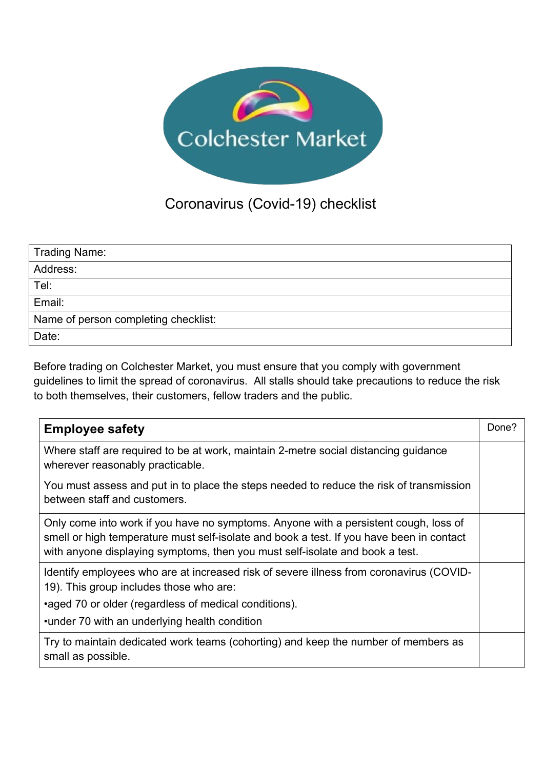

## Coronavirus (Covid-19) checklist

| Trading Name:                        |
|--------------------------------------|
| Address:                             |
| Tel:                                 |
| Email:                               |
| Name of person completing checklist: |
| Date:                                |

Before trading on Colchester Market, you must ensure that you comply with government guidelines to limit the spread of coronavirus. All stalls should take precautions to reduce the risk to both themselves, their customers, fellow traders and the public.

| <b>Employee safety</b>                                                                                                                                                                                                                                           | Done? |
|------------------------------------------------------------------------------------------------------------------------------------------------------------------------------------------------------------------------------------------------------------------|-------|
| Where staff are required to be at work, maintain 2-metre social distancing guidance<br>wherever reasonably practicable.                                                                                                                                          |       |
| You must assess and put in to place the steps needed to reduce the risk of transmission<br>between staff and customers.                                                                                                                                          |       |
| Only come into work if you have no symptoms. Anyone with a persistent cough, loss of<br>smell or high temperature must self-isolate and book a test. If you have been in contact<br>with anyone displaying symptoms, then you must self-isolate and book a test. |       |
| Identify employees who are at increased risk of severe illness from coronavirus (COVID-<br>19). This group includes those who are:<br>•aged 70 or older (regardless of medical conditions).                                                                      |       |
| •under 70 with an underlying health condition<br>Try to maintain dedicated work teams (cohorting) and keep the number of members as                                                                                                                              |       |
| small as possible.                                                                                                                                                                                                                                               |       |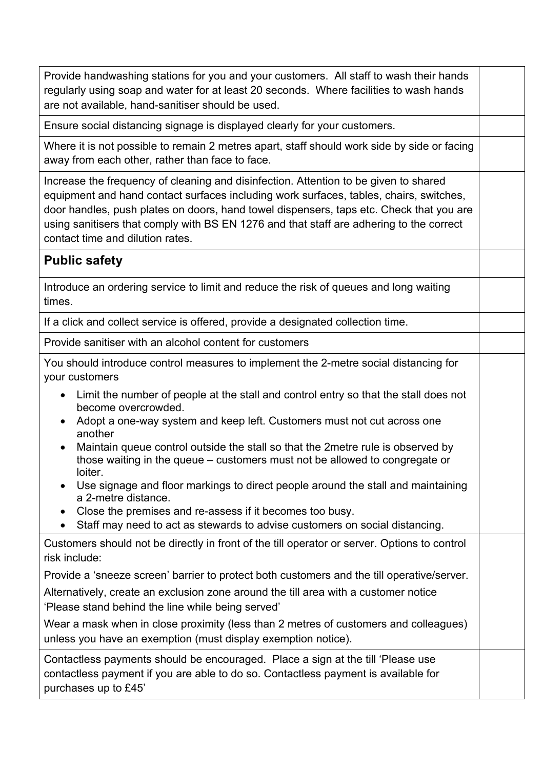| Provide handwashing stations for you and your customers. All staff to wash their hands<br>regularly using soap and water for at least 20 seconds. Where facilities to wash hands<br>are not available, hand-sanitiser should be used.                                                                                                                                                                    |  |
|----------------------------------------------------------------------------------------------------------------------------------------------------------------------------------------------------------------------------------------------------------------------------------------------------------------------------------------------------------------------------------------------------------|--|
| Ensure social distancing signage is displayed clearly for your customers.                                                                                                                                                                                                                                                                                                                                |  |
| Where it is not possible to remain 2 metres apart, staff should work side by side or facing<br>away from each other, rather than face to face.                                                                                                                                                                                                                                                           |  |
| Increase the frequency of cleaning and disinfection. Attention to be given to shared<br>equipment and hand contact surfaces including work surfaces, tables, chairs, switches,<br>door handles, push plates on doors, hand towel dispensers, taps etc. Check that you are<br>using sanitisers that comply with BS EN 1276 and that staff are adhering to the correct<br>contact time and dilution rates. |  |
| <b>Public safety</b>                                                                                                                                                                                                                                                                                                                                                                                     |  |
| Introduce an ordering service to limit and reduce the risk of queues and long waiting<br>times.                                                                                                                                                                                                                                                                                                          |  |
| If a click and collect service is offered, provide a designated collection time.                                                                                                                                                                                                                                                                                                                         |  |
| Provide sanitiser with an alcohol content for customers                                                                                                                                                                                                                                                                                                                                                  |  |
| You should introduce control measures to implement the 2-metre social distancing for<br>your customers<br>Limit the number of people at the stall and control entry so that the stall does not                                                                                                                                                                                                           |  |
| become overcrowded.<br>Adopt a one-way system and keep left. Customers must not cut across one<br>another<br>Maintain queue control outside the stall so that the 2 metre rule is observed by<br>$\bullet$                                                                                                                                                                                               |  |
| those waiting in the queue – customers must not be allowed to congregate or<br>loiter.<br>Use signage and floor markings to direct people around the stall and maintaining<br>a 2-metre distance.<br>Close the premises and re-assess if it becomes too busy.<br>Staff may need to act as stewards to advise customers on social distancing.                                                             |  |
| Customers should not be directly in front of the till operator or server. Options to control                                                                                                                                                                                                                                                                                                             |  |
| risk include:<br>Provide a 'sneeze screen' barrier to protect both customers and the till operative/server.                                                                                                                                                                                                                                                                                              |  |
| Alternatively, create an exclusion zone around the till area with a customer notice<br>'Please stand behind the line while being served'                                                                                                                                                                                                                                                                 |  |
| Wear a mask when in close proximity (less than 2 metres of customers and colleagues)<br>unless you have an exemption (must display exemption notice).                                                                                                                                                                                                                                                    |  |
| Contactless payments should be encouraged. Place a sign at the till 'Please use<br>contactless payment if you are able to do so. Contactless payment is available for<br>purchases up to £45'                                                                                                                                                                                                            |  |